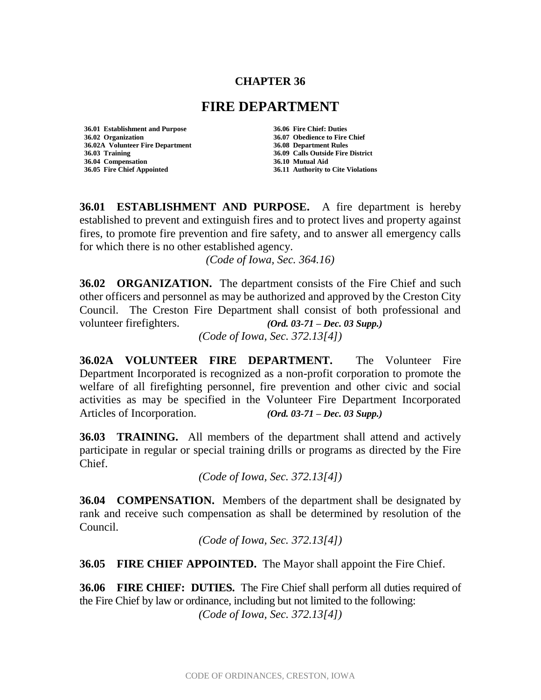## **CHAPTER 36**

## **FIRE DEPARTMENT**

**36.01 Establishment and Purpose 36.06 Fire Chief: Duties 36.02 Organization 36.07 Obedience to Fire Chief 36.02A Volunteer Fire Department 36.03 Training 36.09 Calls Outside Fire District 36.04 Compensation 36.10 Mutual Aid 36.05 Fire Chief Appointed 36.11 Authority to Cite Violations**

**36.01 ESTABLISHMENT AND PURPOSE.** A fire department is hereby established to prevent and extinguish fires and to protect lives and property against fires, to promote fire prevention and fire safety, and to answer all emergency calls for which there is no other established agency.

*(Code of Iowa, Sec. 364.16)*

**36.02 ORGANIZATION.** The department consists of the Fire Chief and such other officers and personnel as may be authorized and approved by the Creston City Council. The Creston Fire Department shall consist of both professional and volunteer firefighters. *(Ord. 03-71 – Dec. 03 Supp.) (Code of Iowa, Sec. 372.13[4])*

**36.02A VOLUNTEER FIRE DEPARTMENT.** The Volunteer Fire Department Incorporated is recognized as a non-profit corporation to promote the welfare of all firefighting personnel, fire prevention and other civic and social activities as may be specified in the Volunteer Fire Department Incorporated Articles of Incorporation. *(Ord. 03-71 – Dec. 03 Supp.)*

**36.03 TRAINING.** All members of the department shall attend and actively participate in regular or special training drills or programs as directed by the Fire Chief.

*(Code of Iowa, Sec. 372.13[4])*

**36.04 COMPENSATION.** Members of the department shall be designated by rank and receive such compensation as shall be determined by resolution of the Council.

*(Code of Iowa, Sec. 372.13[4])*

**36.05 FIRE CHIEF APPOINTED.** The Mayor shall appoint the Fire Chief.

**36.06 FIRE CHIEF: DUTIES.** The Fire Chief shall perform all duties required of the Fire Chief by law or ordinance, including but not limited to the following: *(Code of Iowa, Sec. 372.13[4])*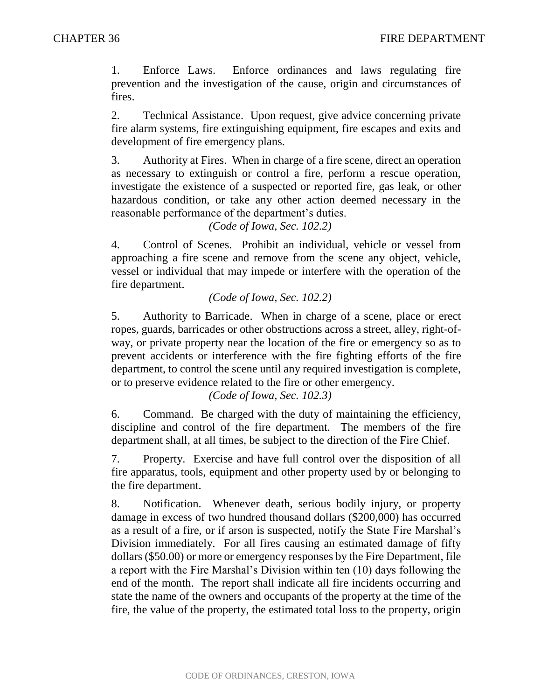1. Enforce Laws. Enforce ordinances and laws regulating fire prevention and the investigation of the cause, origin and circumstances of fires.

2. Technical Assistance. Upon request, give advice concerning private fire alarm systems, fire extinguishing equipment, fire escapes and exits and development of fire emergency plans.

3. Authority at Fires. When in charge of a fire scene, direct an operation as necessary to extinguish or control a fire, perform a rescue operation, investigate the existence of a suspected or reported fire, gas leak, or other hazardous condition, or take any other action deemed necessary in the reasonable performance of the department's duties.

*(Code of Iowa, Sec. 102.2)*

4. Control of Scenes. Prohibit an individual, vehicle or vessel from approaching a fire scene and remove from the scene any object, vehicle, vessel or individual that may impede or interfere with the operation of the fire department.

*(Code of Iowa, Sec. 102.2)*

5. Authority to Barricade. When in charge of a scene, place or erect ropes, guards, barricades or other obstructions across a street, alley, right-ofway, or private property near the location of the fire or emergency so as to prevent accidents or interference with the fire fighting efforts of the fire department, to control the scene until any required investigation is complete, or to preserve evidence related to the fire or other emergency.

*(Code of Iowa, Sec. 102.3)*

6. Command. Be charged with the duty of maintaining the efficiency, discipline and control of the fire department. The members of the fire department shall, at all times, be subject to the direction of the Fire Chief.

7. Property. Exercise and have full control over the disposition of all fire apparatus, tools, equipment and other property used by or belonging to the fire department.

8. Notification. Whenever death, serious bodily injury, or property damage in excess of two hundred thousand dollars (\$200,000) has occurred as a result of a fire, or if arson is suspected, notify the State Fire Marshal's Division immediately. For all fires causing an estimated damage of fifty dollars (\$50.00) or more or emergency responses by the Fire Department, file a report with the Fire Marshal's Division within ten (10) days following the end of the month. The report shall indicate all fire incidents occurring and state the name of the owners and occupants of the property at the time of the fire, the value of the property, the estimated total loss to the property, origin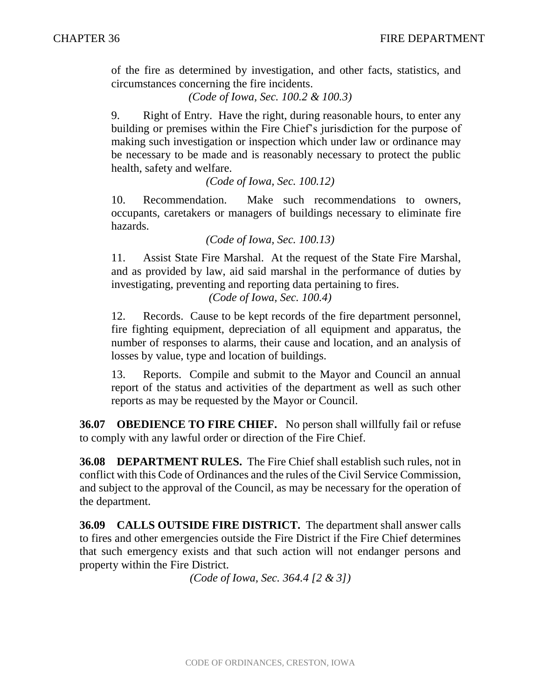of the fire as determined by investigation, and other facts, statistics, and circumstances concerning the fire incidents.

*(Code of Iowa, Sec. 100.2 & 100.3)*

9. Right of Entry. Have the right, during reasonable hours, to enter any building or premises within the Fire Chief's jurisdiction for the purpose of making such investigation or inspection which under law or ordinance may be necessary to be made and is reasonably necessary to protect the public health, safety and welfare.

*(Code of Iowa, Sec. 100.12)*

10. Recommendation. Make such recommendations to owners, occupants, caretakers or managers of buildings necessary to eliminate fire hazards.

*(Code of Iowa, Sec. 100.13)*

11. Assist State Fire Marshal. At the request of the State Fire Marshal, and as provided by law, aid said marshal in the performance of duties by investigating, preventing and reporting data pertaining to fires.

*(Code of Iowa, Sec. 100.4)*

12. Records. Cause to be kept records of the fire department personnel, fire fighting equipment, depreciation of all equipment and apparatus, the number of responses to alarms, their cause and location, and an analysis of losses by value, type and location of buildings.

13. Reports. Compile and submit to the Mayor and Council an annual report of the status and activities of the department as well as such other reports as may be requested by the Mayor or Council.

**36.07 OBEDIENCE TO FIRE CHIEF.** No person shall willfully fail or refuse to comply with any lawful order or direction of the Fire Chief.

**36.08 DEPARTMENT RULES.** The Fire Chief shall establish such rules, not in conflict with this Code of Ordinances and the rules of the Civil Service Commission, and subject to the approval of the Council, as may be necessary for the operation of the department.

**36.09 CALLS OUTSIDE FIRE DISTRICT.** The department shall answer calls to fires and other emergencies outside the Fire District if the Fire Chief determines that such emergency exists and that such action will not endanger persons and property within the Fire District.

*(Code of Iowa, Sec. 364.4 [2 & 3])*